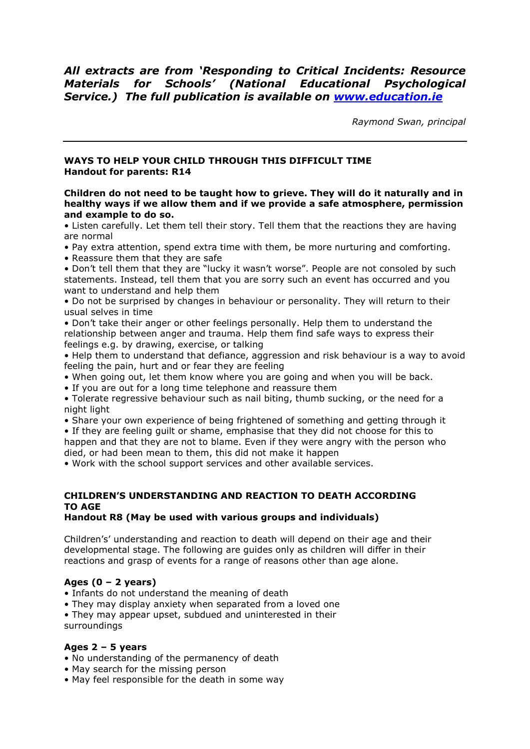# *All extracts are from 'Responding to Critical Incidents: Resource Materials for Schools' (National Educational Psychological Service.) The full publication is available on [www.education.ie](http://www.education.ie/)*

*Raymond Swan, principal*

#### **WAYS TO HELP YOUR CHILD THROUGH THIS DIFFICULT TIME Handout for parents: R14**

**Children do not need to be taught how to grieve. They will do it naturally and in healthy ways if we allow them and if we provide a safe atmosphere, permission and example to do so.**

• Listen carefully. Let them tell their story. Tell them that the reactions they are having are normal

• Pay extra attention, spend extra time with them, be more nurturing and comforting.

• Reassure them that they are safe

• Don"t tell them that they are "lucky it wasn"t worse". People are not consoled by such statements. Instead, tell them that you are sorry such an event has occurred and you want to understand and help them

• Do not be surprised by changes in behaviour or personality. They will return to their usual selves in time

• Don"t take their anger or other feelings personally. Help them to understand the relationship between anger and trauma. Help them find safe ways to express their feelings e.g. by drawing, exercise, or talking

• Help them to understand that defiance, aggression and risk behaviour is a way to avoid feeling the pain, hurt and or fear they are feeling

- When going out, let them know where you are going and when you will be back.
- If you are out for a long time telephone and reassure them

• Tolerate regressive behaviour such as nail biting, thumb sucking, or the need for a night light

• Share your own experience of being frightened of something and getting through it

• If they are feeling guilt or shame, emphasise that they did not choose for this to happen and that they are not to blame. Even if they were angry with the person who died, or had been mean to them, this did not make it happen

• Work with the school support services and other available services.

## **CHILDREN'S UNDERSTANDING AND REACTION TO DEATH ACCORDING TO AGE**

## **Handout R8 (May be used with various groups and individuals)**

Children"s" understanding and reaction to death will depend on their age and their developmental stage. The following are guides only as children will differ in their reactions and grasp of events for a range of reasons other than age alone.

## **Ages (0 – 2 years)**

• Infants do not understand the meaning of death

• They may display anxiety when separated from a loved one

• They may appear upset, subdued and uninterested in their

surroundings

## **Ages 2 – 5 years**

- No understanding of the permanency of death
- May search for the missing person
- May feel responsible for the death in some way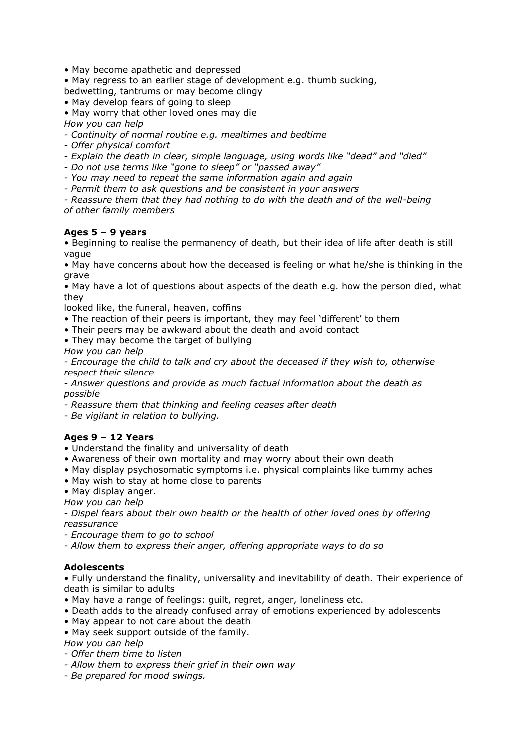- May become apathetic and depressed
- May regress to an earlier stage of development e.g. thumb sucking,
- bedwetting, tantrums or may become clingy
- May develop fears of going to sleep
- May worry that other loved ones may die
- *How you can help*
- *- Continuity of normal routine e.g. mealtimes and bedtime*
- *- Offer physical comfort*
- *- Explain the death in clear, simple language, using words like "dead" and "died"*
- *- Do not use terms like "gone to sleep" or "passed away"*
- *- You may need to repeat the same information again and again*
- *- Permit them to ask questions and be consistent in your answers*

*- Reassure them that they had nothing to do with the death and of the well-being of other family members*

#### **Ages 5 – 9 years**

• Beginning to realise the permanency of death, but their idea of life after death is still vague

• May have concerns about how the deceased is feeling or what he/she is thinking in the grave

• May have a lot of questions about aspects of the death e.g. how the person died, what they

- looked like, the funeral, heaven, coffins
- The reaction of their peers is important, they may feel "different" to them
- Their peers may be awkward about the death and avoid contact
- They may become the target of bullying

*How you can help*

*- Encourage the child to talk and cry about the deceased if they wish to, otherwise respect their silence*

*- Answer questions and provide as much factual information about the death as possible*

*- Reassure them that thinking and feeling ceases after death*

*- Be vigilant in relation to bullying.*

## **Ages 9 – 12 Years**

- Understand the finality and universality of death
- Awareness of their own mortality and may worry about their own death
- May display psychosomatic symptoms i.e. physical complaints like tummy aches
- May wish to stay at home close to parents
- May display anger.

*How you can help*

*- Dispel fears about their own health or the health of other loved ones by offering reassurance*

*- Encourage them to go to school*

*- Allow them to express their anger, offering appropriate ways to do so*

## **Adolescents**

• Fully understand the finality, universality and inevitability of death. Their experience of death is similar to adults

- May have a range of feelings: guilt, regret, anger, loneliness etc.
- Death adds to the already confused array of emotions experienced by adolescents
- May appear to not care about the death
- May seek support outside of the family.

*How you can help*

- *- Offer them time to listen*
- *- Allow them to express their grief in their own way*
- *- Be prepared for mood swings.*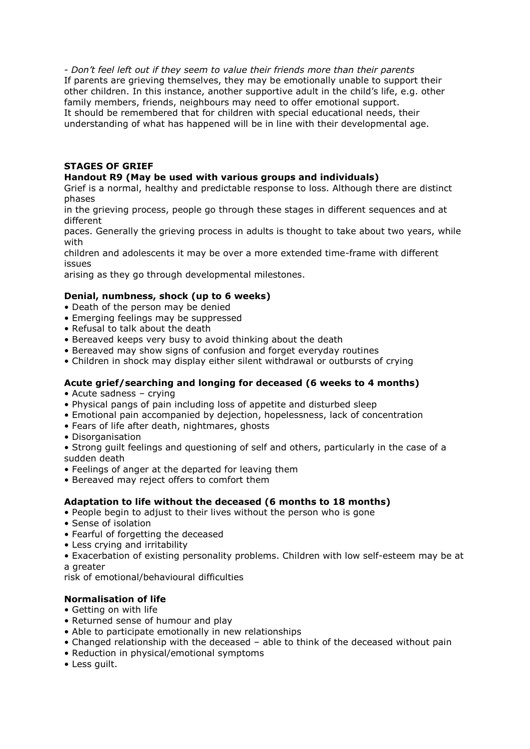*- Don't feel left out if they seem to value their friends more than their parents* If parents are grieving themselves, they may be emotionally unable to support their other children. In this instance, another supportive adult in the child"s life, e.g. other family members, friends, neighbours may need to offer emotional support. It should be remembered that for children with special educational needs, their understanding of what has happened will be in line with their developmental age.

## **STAGES OF GRIEF**

#### **Handout R9 (May be used with various groups and individuals)**

Grief is a normal, healthy and predictable response to loss. Although there are distinct phases

in the grieving process, people go through these stages in different sequences and at different

paces. Generally the grieving process in adults is thought to take about two years, while with

children and adolescents it may be over a more extended time-frame with different issues

arising as they go through developmental milestones.

#### **Denial, numbness, shock (up to 6 weeks)**

- Death of the person may be denied
- Emerging feelings may be suppressed
- Refusal to talk about the death
- Bereaved keeps very busy to avoid thinking about the death
- Bereaved may show signs of confusion and forget everyday routines
- Children in shock may display either silent withdrawal or outbursts of crying

#### **Acute grief/searching and longing for deceased (6 weeks to 4 months)**

- Acute sadness crying
- Physical pangs of pain including loss of appetite and disturbed sleep
- Emotional pain accompanied by dejection, hopelessness, lack of concentration
- Fears of life after death, nightmares, ghosts
- Disorganisation
- Strong guilt feelings and questioning of self and others, particularly in the case of a sudden death
- Feelings of anger at the departed for leaving them
- Bereaved may reject offers to comfort them

#### **Adaptation to life without the deceased (6 months to 18 months)**

- People begin to adjust to their lives without the person who is gone
- Sense of isolation
- Fearful of forgetting the deceased
- Less crying and irritability
- Exacerbation of existing personality problems. Children with low self-esteem may be at a greater

risk of emotional/behavioural difficulties

#### **Normalisation of life**

- Getting on with life
- Returned sense of humour and play
- Able to participate emotionally in new relationships
- Changed relationship with the deceased able to think of the deceased without pain
- Reduction in physical/emotional symptoms
- Less guilt.